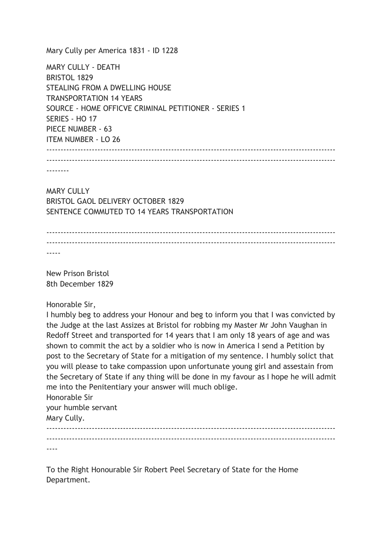Mary Cully per America 1831 - ID 1228

MARY CULLY - DEATH BRISTOL 1829 STEALING FROM A DWELLING HOUSE TRANSPORTATION 14 YEARS SOURCE - HOME OFFICVE CRIMINAL PETITIONER - SERIES 1 SERIES - HO 17 PIECE NUMBER - 63 ITEM NUMBER - LO 26 ------------------------------------------------------------------------------------------------------ ------------------------------------------------------------------------------------------------------

--------

MARY CULLY BRISTOL GAOL DELIVERY OCTOBER 1829 SENTENCE COMMUTED TO 14 YEARS TRANSPORTATION

 $-$ ------------------------------------------------------------------------------------------------------ -----

New Prison Bristol 8th December 1829

Honorable Sir,

I humbly beg to address your Honour and beg to inform you that I was convicted by the Judge at the last Assizes at Bristol for robbing my Master Mr John Vaughan in Redoff Street and transported for 14 years that I am only 18 years of age and was shown to commit the act by a soldier who is now in America I send a Petition by post to the Secretary of State for a mitigation of my sentence. I humbly solict that you will please to take compassion upon unfortunate young girl and assestain from the Secretary of State if any thing will be done in my favour as I hope he will admit me into the Penitentiary your answer will much oblige.

Honorable Sir your humble servant

Mary Cully.

------------------------------------------------------------------------------------------------------ ------------------------------------------------------------------------------------------------------ ----

To the Right Honourable Sir Robert Peel Secretary of State for the Home Department.